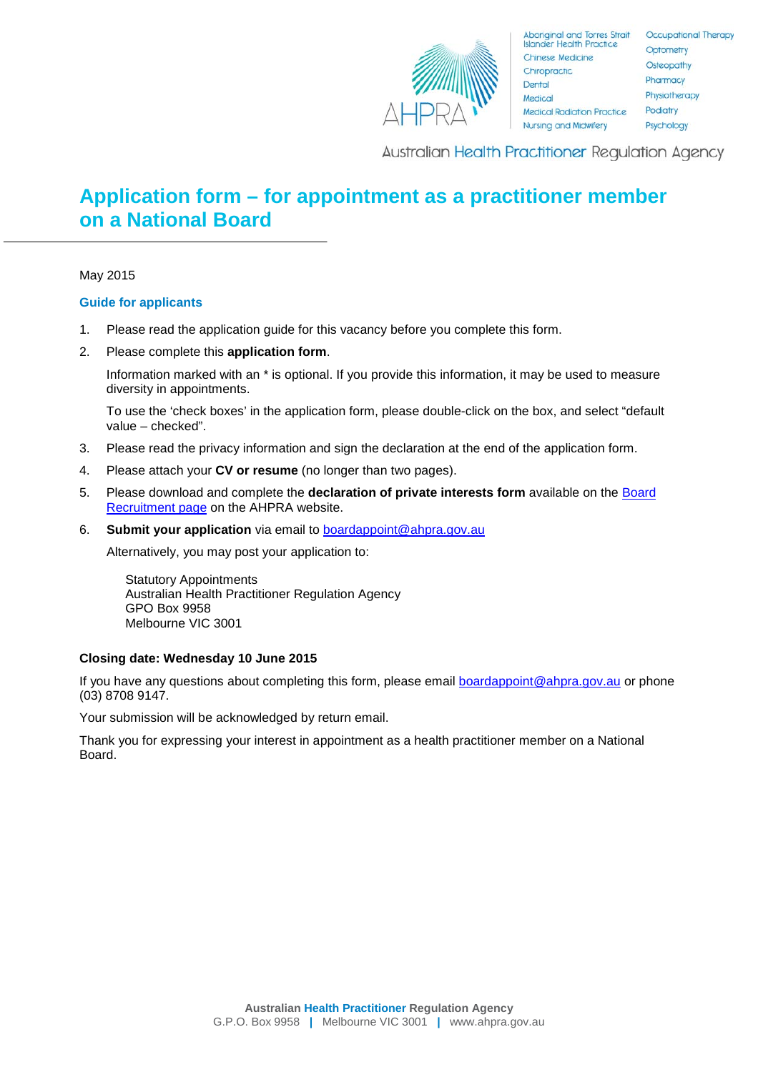

**Australian Health Practitioner Regulation Agency** 

# **Application form – for appointment as a practitioner member on a National Board**

May 2015

### **Guide for applicants**

- 1. Please read the application guide for this vacancy before you complete this form.
- 2. Please complete this **application form**.

Information marked with an \* is optional. If you provide this information, it may be used to measure diversity in appointments.

To use the 'check boxes' in the application form, please double-click on the box, and select "default value – checked".

- 3. Please read the privacy information and sign the declaration at the end of the application form.
- 4. Please attach your **CV or resume** (no longer than two pages).
- 5. Please download and complete the **declaration of private interests form** available on the [Board](http://www.ahpra.gov.au/National-Boards/Board-member-recruitment.aspx)  [Recruitment page](http://www.ahpra.gov.au/National-Boards/Board-member-recruitment.aspx) on the AHPRA website.
- 6. **Submit your application** via email to [boardappoint@ahpra.gov.au](mailto:boardappoint@ahpra.gov.au)

Alternatively, you may post your application to:

Statutory Appointments Australian Health Practitioner Regulation Agency GPO Box 9958 Melbourne VIC 3001

### **Closing date: Wednesday 10 June 2015**

If you have any questions about completing this form, please email [boardappoint@ahpra.gov.au](mailto:boardappoint@ahpra.gov.au) or phone (03) 8708 9147.

Your submission will be acknowledged by return email.

Thank you for expressing your interest in appointment as a health practitioner member on a National Board.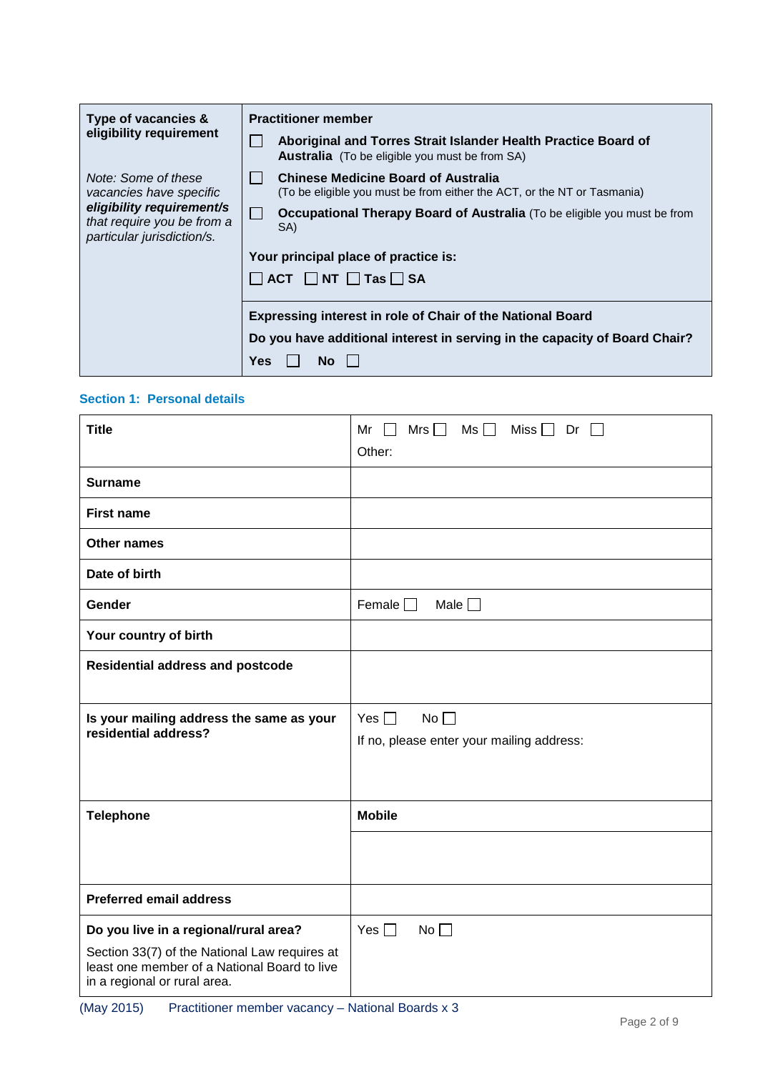| Type of vacancies &                                                                   | <b>Practitioner member</b>                                        |                                                                                                                         |  |
|---------------------------------------------------------------------------------------|-------------------------------------------------------------------|-------------------------------------------------------------------------------------------------------------------------|--|
| eligibility requirement                                                               |                                                                   | Aboriginal and Torres Strait Islander Health Practice Board of<br><b>Australia</b> (To be eligible you must be from SA) |  |
| Note: Some of these<br>vacancies have specific                                        |                                                                   | <b>Chinese Medicine Board of Australia</b><br>(To be eligible you must be from either the ACT, or the NT or Tasmania)   |  |
| eligibility requirement/s<br>that require you be from a<br>particular jurisdiction/s. |                                                                   | Occupational Therapy Board of Australia (To be eligible you must be from<br>SA)                                         |  |
|                                                                                       | Your principal place of practice is:                              |                                                                                                                         |  |
|                                                                                       |                                                                   | $\Box$ ACT $\Box$ NT $\Box$ Tas $\Box$ SA                                                                               |  |
|                                                                                       | <b>Expressing interest in role of Chair of the National Board</b> |                                                                                                                         |  |
|                                                                                       | Yes                                                               | Do you have additional interest in serving in the capacity of Board Chair?<br><b>No</b>                                 |  |

## **Section 1: Personal details**

| <b>Title</b>                                                                                                                                                           | $Ms \Box$<br>Mr<br>Mrs $\Box$<br>Miss $\Box$ Dr $\Box$<br>$\blacksquare$ |
|------------------------------------------------------------------------------------------------------------------------------------------------------------------------|--------------------------------------------------------------------------|
|                                                                                                                                                                        | Other:                                                                   |
| <b>Surname</b>                                                                                                                                                         |                                                                          |
| <b>First name</b>                                                                                                                                                      |                                                                          |
| <b>Other names</b>                                                                                                                                                     |                                                                          |
| Date of birth                                                                                                                                                          |                                                                          |
| Gender                                                                                                                                                                 | Female $\Box$<br>Male $\square$                                          |
| Your country of birth                                                                                                                                                  |                                                                          |
| <b>Residential address and postcode</b>                                                                                                                                |                                                                          |
| Is your mailing address the same as your<br>residential address?                                                                                                       | Yes $\Box$<br>No<br>If no, please enter your mailing address:            |
| <b>Telephone</b>                                                                                                                                                       | <b>Mobile</b>                                                            |
|                                                                                                                                                                        |                                                                          |
| <b>Preferred email address</b>                                                                                                                                         |                                                                          |
| Do you live in a regional/rural area?<br>Section 33(7) of the National Law requires at<br>least one member of a National Board to live<br>in a regional or rural area. | No $\square$<br>Yes $\Box$                                               |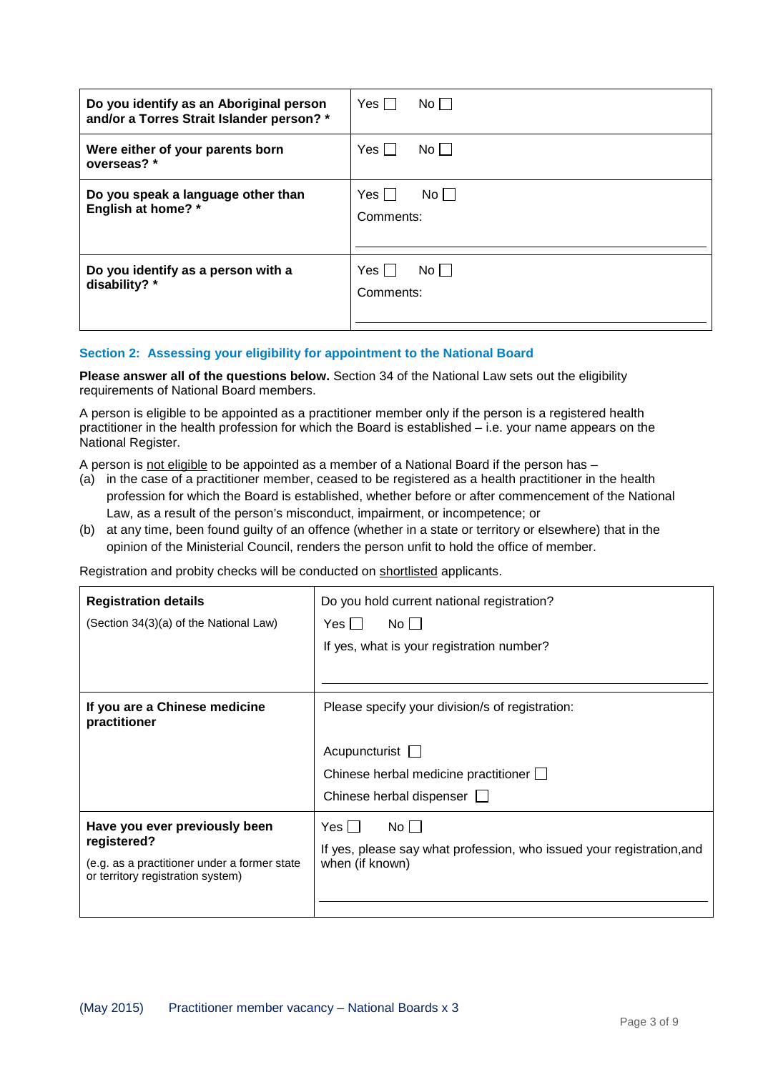| Do you identify as an Aboriginal person                         | Yes $\Box$                   |
|-----------------------------------------------------------------|------------------------------|
| and/or a Torres Strait Islander person? *                       | $No$                         |
| Were either of your parents born                                | $Yes \Box$                   |
| overseas? *                                                     | No                           |
| Do you speak a language other than<br><b>English at home?</b> * | Yes II<br>No II<br>Comments: |
| Do you identify as a person with a<br>disability? *             | No<br>Yes I I<br>Comments:   |

### **Section 2: Assessing your eligibility for appointment to the National Board**

**Please answer all of the questions below.** Section 34 of the National Law sets out the eligibility requirements of National Board members.

A person is eligible to be appointed as a practitioner member only if the person is a registered health practitioner in the health profession for which the Board is established – i.e. your name appears on the National Register.

A person is <u>not eligible</u> to be appointed as a member of a National Board if the person has –

- (a) in the case of a practitioner member, ceased to be registered as a health practitioner in the health profession for which the Board is established, whether before or after commencement of the National Law, as a result of the person's misconduct, impairment, or incompetence; or
- (b) at any time, been found guilty of an offence (whether in a state or territory or elsewhere) that in the opinion of the Ministerial Council, renders the person unfit to hold the office of member.

Registration and probity checks will be conducted on <u>shortlisted</u> applicants.

| <b>Registration details</b><br>(Section 34(3)(a) of the National Law)                                                             | Do you hold current national registration?<br>Yes II<br>No II<br>If yes, what is your registration number?                                         |  |
|-----------------------------------------------------------------------------------------------------------------------------------|----------------------------------------------------------------------------------------------------------------------------------------------------|--|
| If you are a Chinese medicine<br>practitioner                                                                                     | Please specify your division/s of registration:<br>Acupuncturist $\Box$<br>Chinese herbal medicine practitioner $\Box$<br>Chinese herbal dispenser |  |
| Have you ever previously been<br>registered?<br>(e.g. as a practitioner under a former state<br>or territory registration system) | $No$    <br>Yes II<br>If yes, please say what profession, who issued your registration, and<br>when (if known)                                     |  |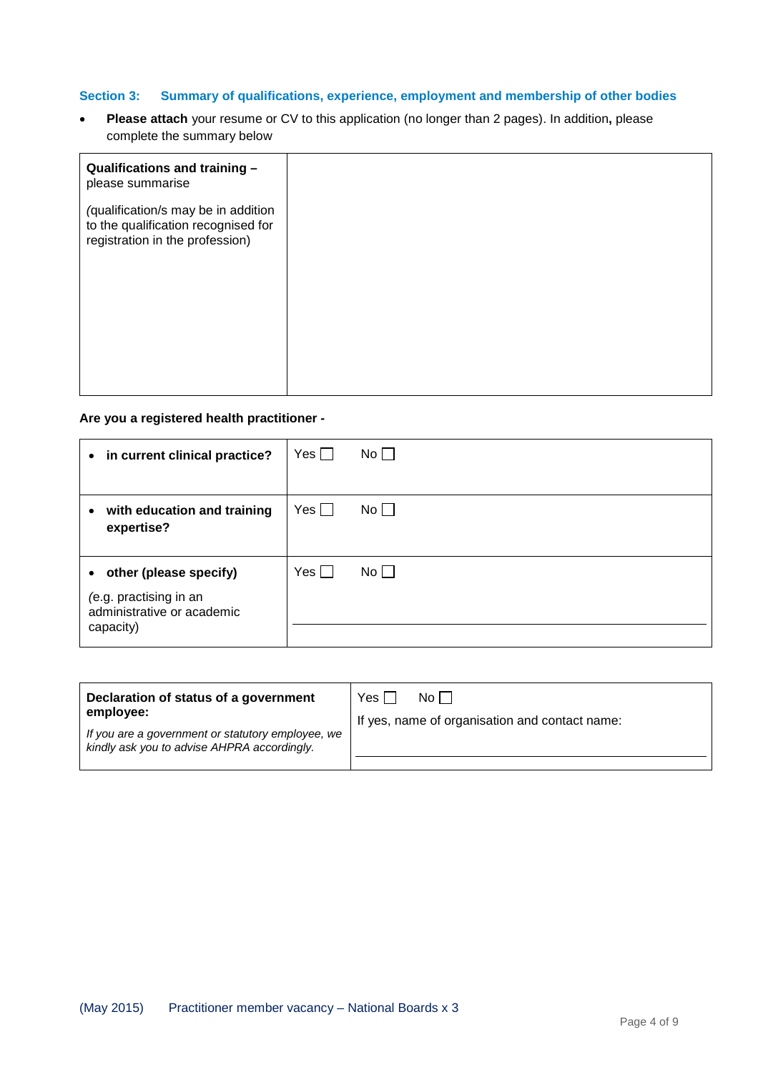## **Section 3: Summary of qualifications, experience, employment and membership of other bodies**

• **Please attach** your resume or CV to this application (no longer than 2 pages). In addition**,** please complete the summary below

| Qualifications and training -<br>please summarise                                                             |
|---------------------------------------------------------------------------------------------------------------|
| (qualification/s may be in addition<br>to the qualification recognised for<br>registration in the profession) |
|                                                                                                               |

### **Are you a registered health practitioner -**

| • in current clinical practice?                                                               | Yes $\Box$ | $No$ $\Box$ |
|-----------------------------------------------------------------------------------------------|------------|-------------|
| with education and training<br>$\bullet$<br>expertise?                                        | Yes $\Box$ | $No \Box$   |
| • other (please specify)<br>(e.g. practising in an<br>administrative or academic<br>capacity) | Yes $\Box$ | No          |

| Declaration of status of a government<br>employee:                                               | Yes I<br>No II<br>If yes, name of organisation and contact name: |  |
|--------------------------------------------------------------------------------------------------|------------------------------------------------------------------|--|
| If you are a government or statutory employee, we<br>kindly ask you to advise AHPRA accordingly. |                                                                  |  |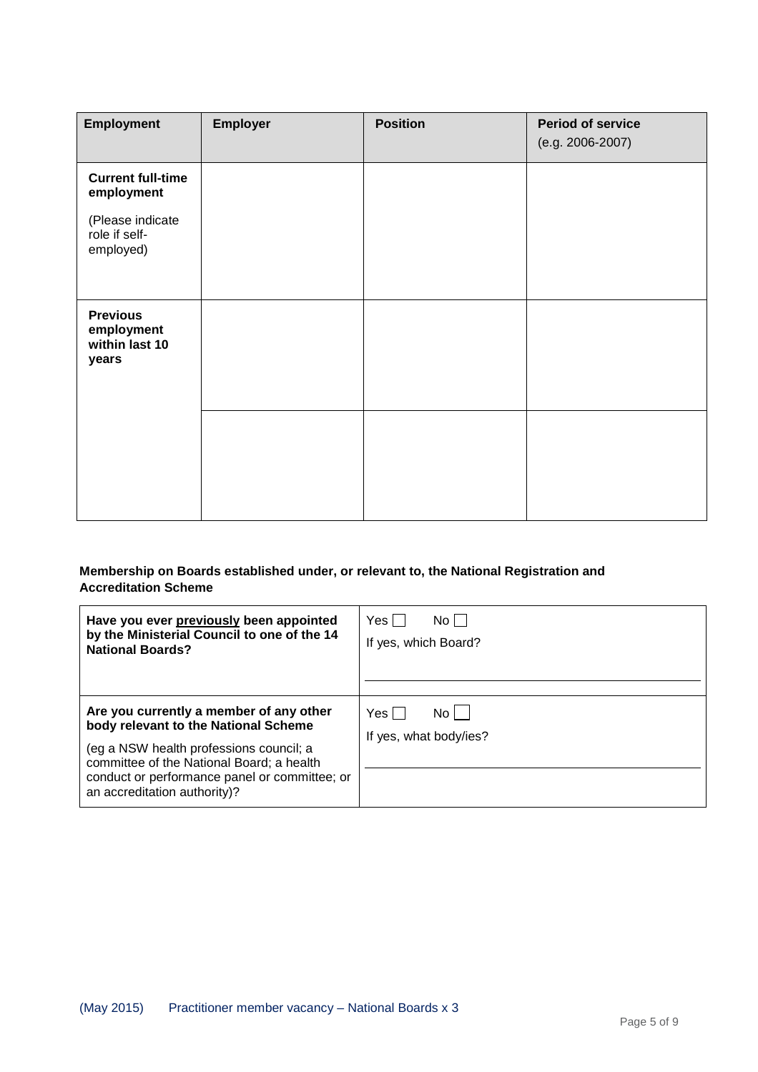| <b>Employment</b>                                        | Employer | <b>Position</b> | <b>Period of service</b><br>(e.g. 2006-2007) |
|----------------------------------------------------------|----------|-----------------|----------------------------------------------|
| <b>Current full-time</b><br>employment                   |          |                 |                                              |
| (Please indicate<br>role if self-<br>employed)           |          |                 |                                              |
| <b>Previous</b><br>employment<br>within last 10<br>years |          |                 |                                              |
|                                                          |          |                 |                                              |

## **Membership on Boards established under, or relevant to, the National Registration and Accreditation Scheme**

| Have you ever previously been appointed                                                                                                                                                                                                                  | Yes I                                  |
|----------------------------------------------------------------------------------------------------------------------------------------------------------------------------------------------------------------------------------------------------------|----------------------------------------|
| by the Ministerial Council to one of the 14                                                                                                                                                                                                              | No L                                   |
| <b>National Boards?</b>                                                                                                                                                                                                                                  | If yes, which Board?                   |
| Are you currently a member of any other<br>body relevant to the National Scheme<br>(eg a NSW health professions council; a<br>committee of the National Board; a health<br>conduct or performance panel or committee; or<br>an accreditation authority)? | Yes I<br>No.<br>If yes, what body/ies? |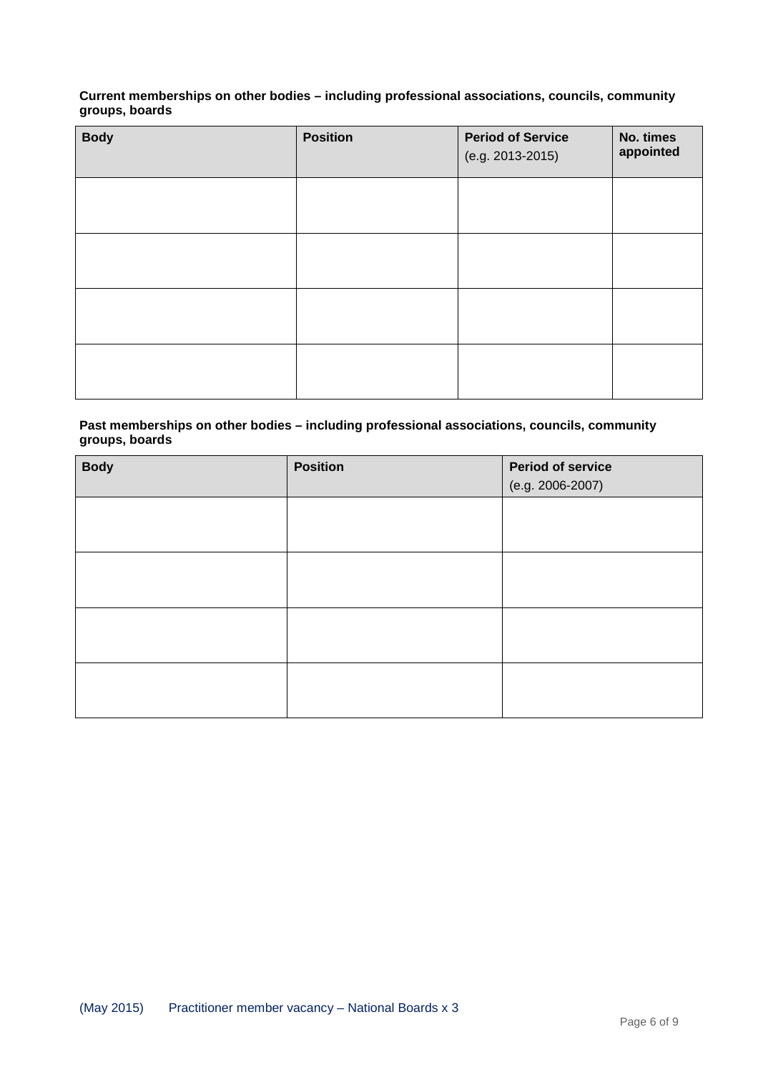## **Current memberships on other bodies – including professional associations, councils, community groups, boards**

| <b>Body</b> | <b>Position</b> | <b>Period of Service</b><br>(e.g. 2013-2015) | No. times<br>appointed |
|-------------|-----------------|----------------------------------------------|------------------------|
|             |                 |                                              |                        |
|             |                 |                                              |                        |
|             |                 |                                              |                        |
|             |                 |                                              |                        |

### **Past memberships on other bodies – including professional associations, councils, community groups, boards**

| <b>Body</b> | <b>Position</b> | <b>Period of service</b><br>(e.g. 2006-2007) |
|-------------|-----------------|----------------------------------------------|
|             |                 |                                              |
|             |                 |                                              |
|             |                 |                                              |
|             |                 |                                              |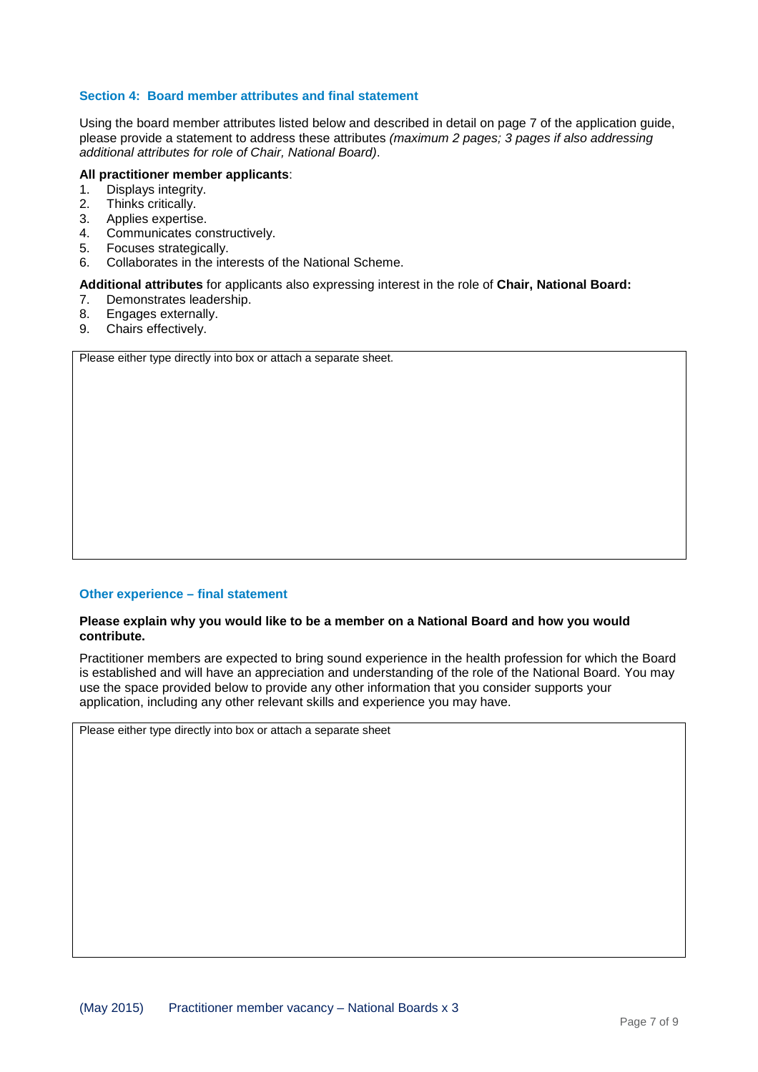### **Section 4: Board member attributes and final statement**

Using the board member attributes listed below and described in detail on page 7 of the application guide, please provide a statement to address these attributes *(maximum 2 pages; 3 pages if also addressing additional attributes for role of Chair, National Board)*.

# **All practitioner member applicants**:

- 1. Displays integrity.<br>2. Thinks critically.
- 2. Thinks critically.<br>3. Applies expertise
- 3. Applies expertise.<br>4. Communicates co
- 4. Communicates constructively.<br>5. Focuses strategically.
- 5. Focuses strategically.
- 6. Collaborates in the interests of the National Scheme.

#### **Additional attributes** for applicants also expressing interest in the role of **Chair, National Board:**

- 7. Demonstrates leadership.
- 8. Engages externally.<br>9. Chairs effectively.
- Chairs effectively.

Please either type directly into box or attach a separate sheet.

### **Other experience – final statement**

#### **Please explain why you would like to be a member on a National Board and how you would contribute.**

Practitioner members are expected to bring sound experience in the health profession for which the Board is established and will have an appreciation and understanding of the role of the National Board. You may use the space provided below to provide any other information that you consider supports your application, including any other relevant skills and experience you may have.

Please either type directly into box or attach a separate sheet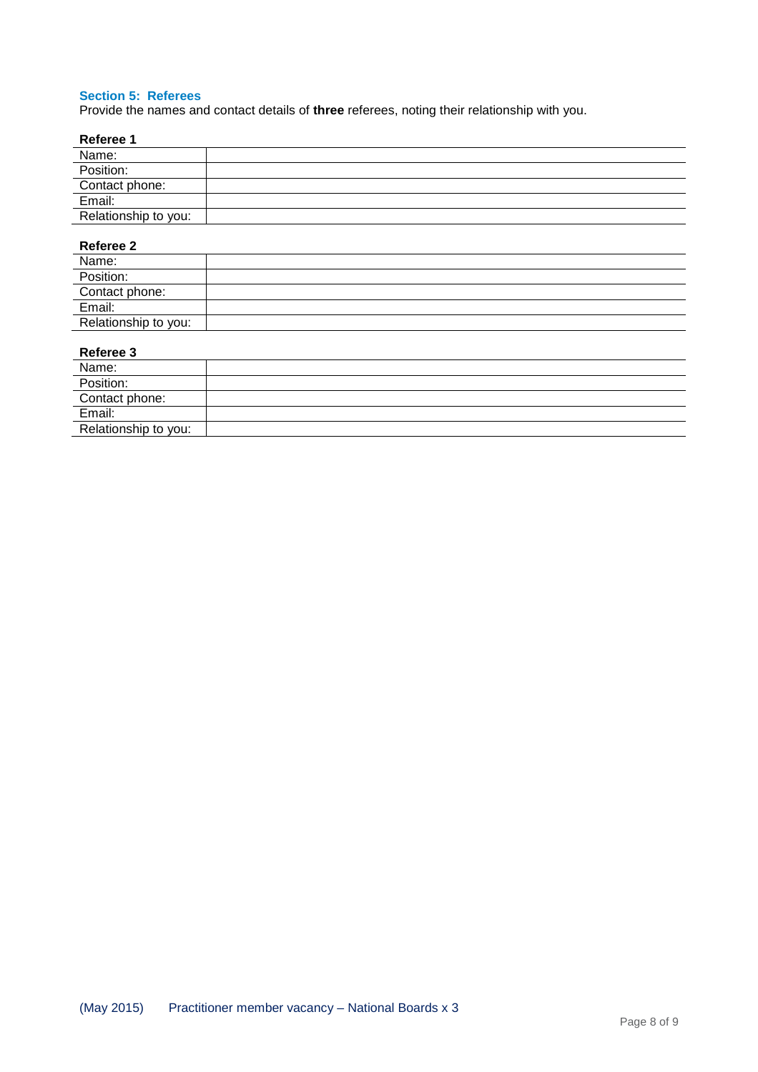### **Section 5: Referees**

Provide the names and contact details of **three** referees, noting their relationship with you.

| Referee 1            |  |
|----------------------|--|
| Name:                |  |
| Position:            |  |
| Contact phone:       |  |
| Email:               |  |
| Relationship to you: |  |

## **Referee 2**

| .                    |  |
|----------------------|--|
| Name:                |  |
| Position:            |  |
| Contact phone:       |  |
| Email:               |  |
| Relationship to you: |  |

## **Referee 3**

| Name:                |  |
|----------------------|--|
| Position:            |  |
| Contact phone:       |  |
| Email:               |  |
| Relationship to you: |  |